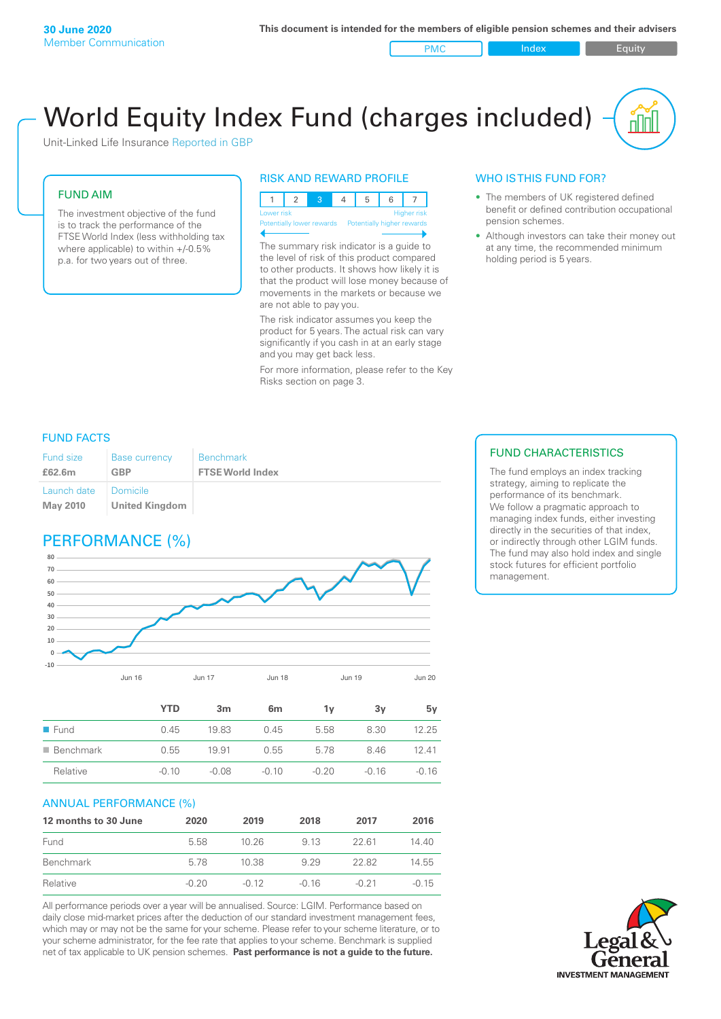PMC Index Index Equity

# World Equity Index Fund (charges included)

Unit-Linked Life Insurance Reported in GBP

#### FUND AIM

The investment objective of the fund is to track the performance of the FTSE World Index (less withholding tax where applicable) to within +/-0.5% p.a. for two years out of three.

#### RISK AND REWARD PROFILE



The summary risk indicator is a guide to the level of risk of this product compared to other products. It shows how likely it is that the product will lose money because of movements in the markets or because we are not able to pay you.

The risk indicator assumes you keep the product for 5 years. The actual risk can vary significantly if you cash in at an early stage and you may get back less.

For more information, please refer to the Key Risks section on page 3.

### WHO IS THIS FUND FOR?

- The members of UK registered defined benefit or defined contribution occupational pension schemes.
- Although investors can take their money out at any time, the recommended minimum holding period is 5 years.

#### FUND FACTS

| Fund size<br>£62.6m | <b>Base currency</b><br><b>GBP</b> | <b>Benchmark</b><br><b>FTSE World Index</b> |
|---------------------|------------------------------------|---------------------------------------------|
| Launch date         | Domicile                           |                                             |
| <b>May 2010</b>     | <b>United Kingdom</b>              |                                             |

## PERFORMANCE (%)



|                          | <b>YTD</b> | 3 <sub>m</sub> | 6 <sub>m</sub> | 1۷      | 3y      | 5v      |
|--------------------------|------------|----------------|----------------|---------|---------|---------|
| $\blacksquare$ Fund      | 0.45       | 19.83          | 0.45           | 5.58    | 8.30    | 12.25   |
| $\blacksquare$ Benchmark | 0.55       | 19.91          | 0.55           | 5.78    | 8.46    | 12.41   |
| Relative                 | $-0.10$    | $-0.08$        | $-0.10$        | $-0.20$ | $-0.16$ | $-0.16$ |
|                          |            |                |                |         |         |         |

#### ANNUAL PERFORMANCE (%)

| 12 months to 30 June | 2020    | 2019    | 2018  | 2017    | 2016    |
|----------------------|---------|---------|-------|---------|---------|
| Fund                 | 5.58    | 10.26   | 9 13  | 22.61   | 14.40   |
| Benchmark            | 578     | 10.38   | 9 2 9 | 22.82   | 14.55   |
| Relative             | $-0.20$ | $-0.12$ | -0.16 | $-0.21$ | $-0.15$ |

All performance periods over a year will be annualised. Source: LGIM. Performance based on daily close mid-market prices after the deduction of our standard investment management fees, which may or may not be the same for your scheme. Please refer to your scheme literature, or to your scheme administrator, for the fee rate that applies to your scheme. Benchmark is supplied net of tax applicable to UK pension schemes. **Past performance is not a guide to the future.**

#### FUND CHARACTERISTICS

The fund employs an index tracking strategy, aiming to replicate the performance of its benchmark. We follow a pragmatic approach to managing index funds, either investing directly in the securities of that index, or indirectly through other LGIM funds. The fund may also hold index and single stock futures for efficient portfolio management.

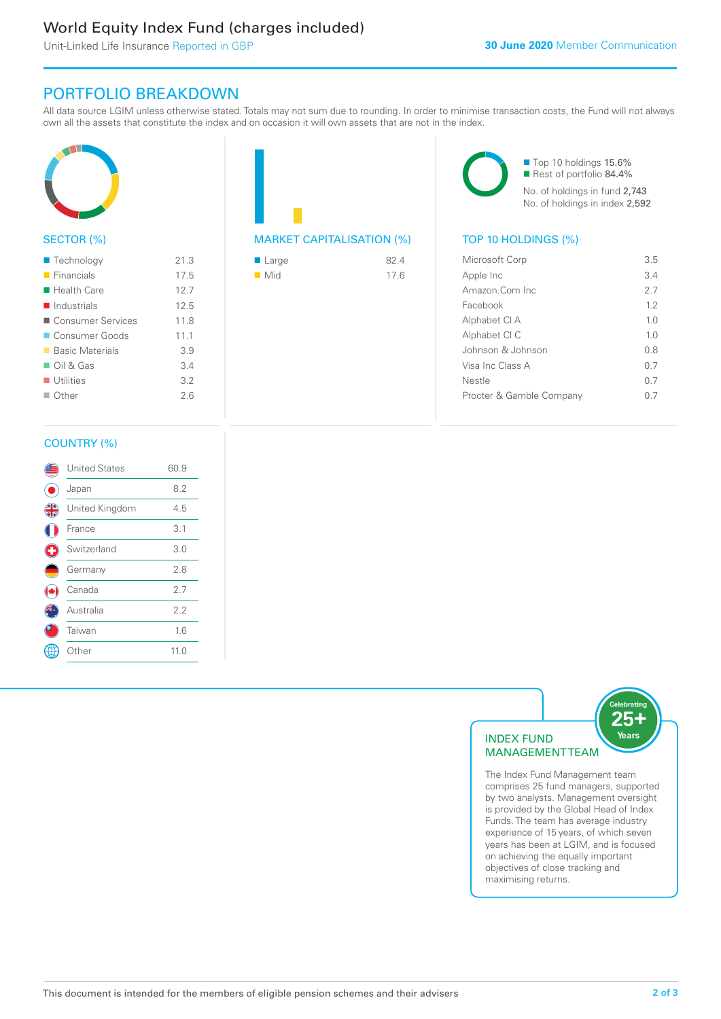# World Equity Index Fund (charges included)

Unit-Linked Life Insurance Reported in GBP

# PORTFOLIO BREAKDOWN

All data source LGIM unless otherwise stated. Totals may not sum due to rounding. In order to minimise transaction costs, the Fund will not always own all the assets that constitute the index and on occasion it will own assets that are not in the index.



### SECTOR (%)

| $\blacksquare$ Technology  | 21.3 |
|----------------------------|------|
| $\blacksquare$ Financials  | 17.5 |
| $\blacksquare$ Health Care | 12.7 |
| Industrials                | 12.5 |
| ■ Consumer Services        | 11.8 |
| Consumer Goods             | 111  |
| ■ Basic Materials          | 3.9  |
| $\Box$ Oil & Gas           | 3.4  |
| $\blacksquare$ Utilities   | 3.2  |
| $\Box$ Other               | 26   |
|                            |      |



| $\blacksquare$ Large | 824  |
|----------------------|------|
| $\blacksquare$ Mid   | 17.6 |

■ Top 10 holdings 15.6% Rest of portfolio 84.4% No. of holdings in fund 2,743 No. of holdings in index 2,592

| Microsoft Corp           | 3.5            |
|--------------------------|----------------|
| Apple Inc                | 34             |
| Amazon Com Inc           | 27             |
| Facebook                 | 12             |
| Alphabet CI A            | 1.0            |
| Alphabet CI C            | 1 <sub>0</sub> |
| Johnson & Johnson        | 0.8            |
| Visa Inc Class A         | 0.7            |
| Nestle                   | ი 7            |
| Procter & Gamble Company |                |
|                          |                |

#### COUNTRY (%)

|   | <b>United States</b> | 60.9 |  |
|---|----------------------|------|--|
|   | Japan                | 8.2  |  |
| 4 | United Kingdom       | 4.5  |  |
|   | France               | 3.1  |  |
|   | Switzerland          | 3.0  |  |
|   | Germany              | 2.8  |  |
|   | Canada               | 2.7  |  |
|   | Australia            | 2.2  |  |
|   | Taiwan               | 1.6  |  |
|   | Other                | 11.0 |  |
|   |                      |      |  |



comprises 25 fund managers, supported by two analysts. Management oversight is provided by the Global Head of Index Funds. The team has average industry experience of 15 years, of which seven years has been at LGIM, and is focused on achieving the equally important objectives of close tracking and maximising returns.